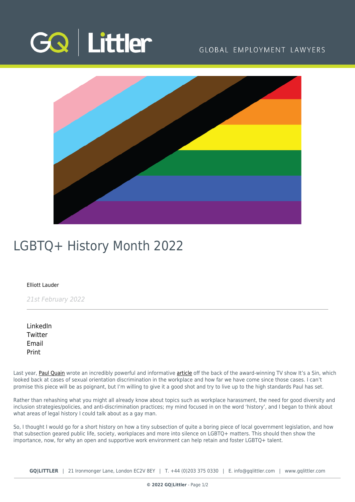

# GLOBAL EMPLOYMENT LAWYERS



# LGBTQ+ History Month 2022

#### [Elliott Lauder](https://www.gqlittler.com/about-us/the-team/elliott-lauder)

21st February 2022

[LinkedIn](https://www.linkedin.com/shareArticle?mini=true&url=https%3A%2F%2Fwww.gqlittler.com%2Fresources%2Fnews-and-views%2Flgbtq-history-month-2022.htm%3Funlock%3Dtrue&title=LGBTQ%2B+History+Month+2022&summary=This+LGBTQ%2B+History+Month+Elliott+Lauder+looks+at+the+legal+history+of+local+government+legislation%2C+and+how+a+short+subsection+geared+public+life%2C+society+and+workplaces+into+silence+on+LGBTQ%2B+matters.&source=GQ+%7C+Littler) **[Twitter](https://twitter.com/share?text=LGBTQ%2B+History+Month+2022&url=https%3A%2F%2Fwww.gqlittler.com%2Fresources%2Fnews-and-views%2Flgbtq-history-month-2022.htm&hashtags=)** [Email](mailto:?subject=LGBTQ+ History Month 2022&body=I) [Print](https://www.bg-pdf.co.uk/_GQ/page.php?M=6148523063484d364c793933643363755a33467361585230624756794c6d4e76625339795a584e7664584a6a5a584d76626d563363793168626d5174646d6c6c64334d76624764696448457461476c7a644739796553317462323530614330794d4449794c6d683062534e4149307848516c52524b79424961584e3062334a3549453176626e526f494449774d6a496a51434e735a324a306353316f61584e3062334a354c573176626e526f4c5449774d6a493d)

Last year, [Paul Quain](https://www.gqlittler.com/about-us/the-team/paul-quain) wrote an incredibly powerful and informative [article](https://www.gqlittler.com/resources/news-and-views/lgbt-history-month.htm) off the back of the award-winning TV show It's a Sin, which looked back at cases of sexual orientation discrimination in the workplace and how far we have come since those cases. I can't promise this piece will be as poignant, but I'm willing to give it a good shot and try to live up to the high standards Paul has set.

Rather than rehashing what you might all already know about topics such as workplace harassment, the need for good diversity and inclusion strategies/policies, and anti-discrimination practices; my mind focused in on the word 'history', and I began to think about what areas of legal history I could talk about as a gay man.

So, I thought I would go for a short history on how a tiny subsection of quite a boring piece of local government legislation, and how that subsection geared public life, society, workplaces and more into silence on LGBTQ+ matters. This should then show the importance, now, for why an open and supportive work environment can help retain and foster LGBTQ+ talent.

**GQ|LITTLER** | 21 Ironmonger Lane, London EC2V 8EY | T. [+44 \(0\)203 375 0330](https://www.bg-pdf.co.uk/_GQ/tel:+442033750330) | E. [info@gqlittler.com](mailto:info@gqlittler.com) | [www.gqlittler.com](https://www.gqlittler.com)